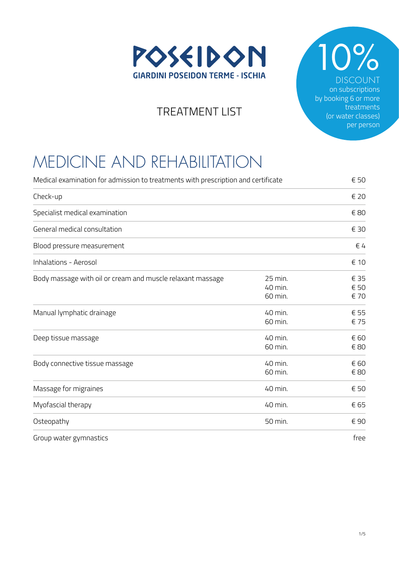

 $2%$ DISCOUNT on subscriptions by booking 6 or more treatments (or water classes) per person

#### TREATMENT LIST

## MEDICINE AND REHABILITATION

| Medical examination for admission to treatments with prescription and certificate |                               | € 50                 |
|-----------------------------------------------------------------------------------|-------------------------------|----------------------|
| Check-up                                                                          |                               | € 20                 |
| Specialist medical examination                                                    |                               | € 80                 |
| General medical consultation                                                      |                               | € 30                 |
| Blood pressure measurement                                                        |                               | $\in$ 4              |
| <b>Inhalations - Aerosol</b>                                                      |                               | € 10                 |
| Body massage with oil or cream and muscle relaxant massage                        | 25 min.<br>40 min.<br>60 min. | € 35<br>€ 50<br>€ 70 |
| Manual lymphatic drainage                                                         | 40 min.<br>60 min.            | € 55<br>€ 75         |
| Deep tissue massage                                                               | 40 min.<br>60 min.            | € 60<br>€ 80         |
| Body connective tissue massage                                                    | 40 min.<br>60 min.            | € 60<br>€ 80         |
| Massage for migraines                                                             | 40 min.                       | € 50                 |
| Myofascial therapy                                                                | 40 min.                       | € 65                 |
| Osteopathy                                                                        | 50 min.                       | €90                  |

Group water gymnastics free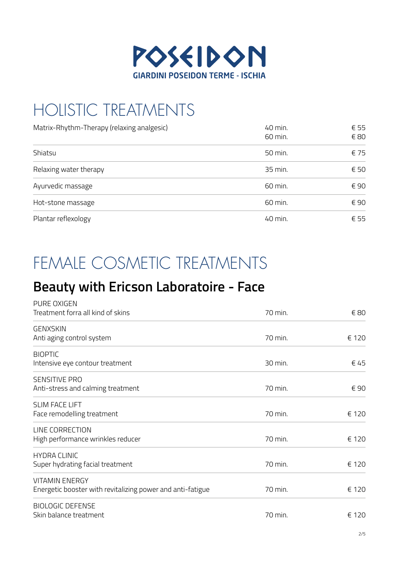

# HOLISTIC TREATMENTS

| Matrix-Rhythm-Therapy (relaxing analgesic) | 40 min.<br>60 min. | € 55<br>€ 80 |
|--------------------------------------------|--------------------|--------------|
| Shiatsu                                    | 50 min.            | € 75         |
| Relaxing water therapy                     | 35 min.            | € 50         |
| Ayurvedic massage                          | 60 min.            | € 90         |
| Hot-stone massage                          | 60 min.            | € 90         |
| Plantar reflexology                        | 40 min.            | € 55         |

## FEMALE COSMETIC TREATMENTS

#### **Beauty with Ericson Laboratoire - Face**

| PURE OXIGEN                                                |         |       |
|------------------------------------------------------------|---------|-------|
| Treatment forra all kind of skins                          | 70 min. | € 80  |
| <b>GENXSKIN</b>                                            |         |       |
| Anti aging control system                                  | 70 min. | € 120 |
| <b>BIOPTIC</b>                                             |         |       |
| Intensive eye contour treatment                            | 30 min. | € 45  |
| <b>SENSITIVE PRO</b>                                       |         |       |
| Anti-stress and calming treatment                          | 70 min. | € 90  |
| <b>SLIM FACE LIFT</b>                                      |         |       |
| Face remodelling treatment                                 | 70 min. | € 120 |
| LINE CORRECTION                                            |         |       |
| High performance wrinkles reducer                          | 70 min. | € 120 |
| <b>HYDRA CLINIC</b>                                        |         |       |
| Super hydrating facial treatment                           | 70 min. | € 120 |
| <b>VITAMIN ENERGY</b>                                      |         |       |
| Energetic booster with revitalizing power and anti-fatigue | 70 min. | € 120 |
| <b>BIOLOGIC DEFENSE</b>                                    |         |       |
| Skin balance treatment                                     | 70 min. | € 120 |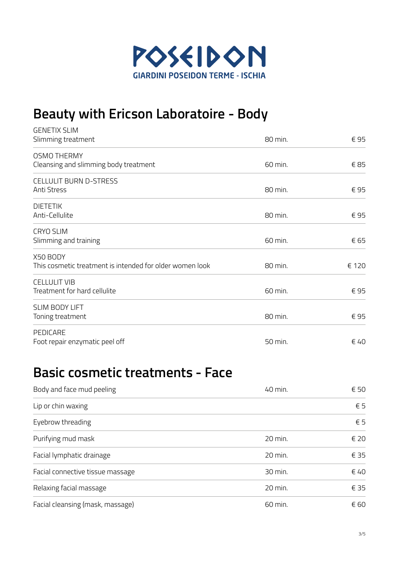

### **Beauty with Ericson Laboratoire - Body**

| <b>GENETIX SLIM</b>                                      |         |               |
|----------------------------------------------------------|---------|---------------|
| Slimming treatment                                       | 80 min. | €95           |
| <b>OSMO THERMY</b>                                       |         |               |
| Cleansing and slimming body treatment                    | 60 min. | €85           |
| <b>CELLULIT BURN D-STRESS</b>                            |         |               |
| Anti Stress                                              | 80 min. | €95           |
| <b>DIETETIK</b>                                          |         |               |
| Anti-Cellulite                                           | 80 min. | €95           |
| <b>CRYO SLIM</b>                                         |         |               |
| Slimming and training                                    | 60 min. | € 65          |
| X50 BODY                                                 |         |               |
| This cosmetic treatment is intended for older women look | 80 min. | € 120         |
| <b>CELLULIT VIB</b>                                      |         |               |
| Treatment for hard cellulite                             | 60 min. | €95           |
| SLIM BODY LIFT                                           |         |               |
| Toning treatment                                         | 80 min. | €95           |
| PEDICARE                                                 |         |               |
| Foot repair enzymatic peel off                           | 50 min. | $\epsilon$ 40 |

#### **Basic cosmetic treatments - Face**

| Body and face mud peeling        | 40 min. | € 50         |
|----------------------------------|---------|--------------|
| Lip or chin waxing               |         | $\epsilon$ 5 |
| Eyebrow threading                |         | $\epsilon$ 5 |
| Purifying mud mask               | 20 min. | € 20         |
| Facial lymphatic drainage        | 20 min. | € 35         |
| Facial connective tissue massage | 30 min. | $\notin$ 40  |
| Relaxing facial massage          | 20 min. | € 35         |
| Facial cleansing (mask, massage) | 60 min. | € 60         |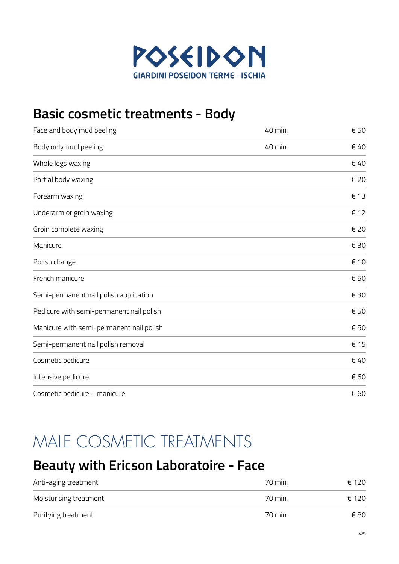

### **Basic cosmetic treatments - Body**

| Face and body mud peeling                | 40 min. | € 50 |
|------------------------------------------|---------|------|
| Body only mud peeling                    | 40 min. | € 40 |
| Whole legs waxing                        |         | € 40 |
| Partial body waxing                      |         | € 20 |
| Forearm waxing                           |         | € 13 |
| Underarm or groin waxing                 |         | € 12 |
| Groin complete waxing                    |         | € 20 |
| Manicure                                 |         | € 30 |
| Polish change                            |         | € 10 |
| French manicure                          |         | € 50 |
| Semi-permanent nail polish application   |         | € 30 |
| Pedicure with semi-permanent nail polish |         | € 50 |
| Manicure with semi-permanent nail polish |         | € 50 |
| Semi-permanent nail polish removal       |         | € 15 |
| Cosmetic pedicure                        |         | € 40 |
| Intensive pedicure                       |         | € 60 |
| Cosmetic pedicure + manicure             |         | € 60 |

### MALE COSMETIC TREATMENTS

#### **Beauty with Ericson Laboratoire - Face**

| Anti-aging treatment   | 70 min. | € 120 |
|------------------------|---------|-------|
| Moisturising treatment | 70 min. | € 120 |
| Purifying treatment    | 70 min. | € 80  |